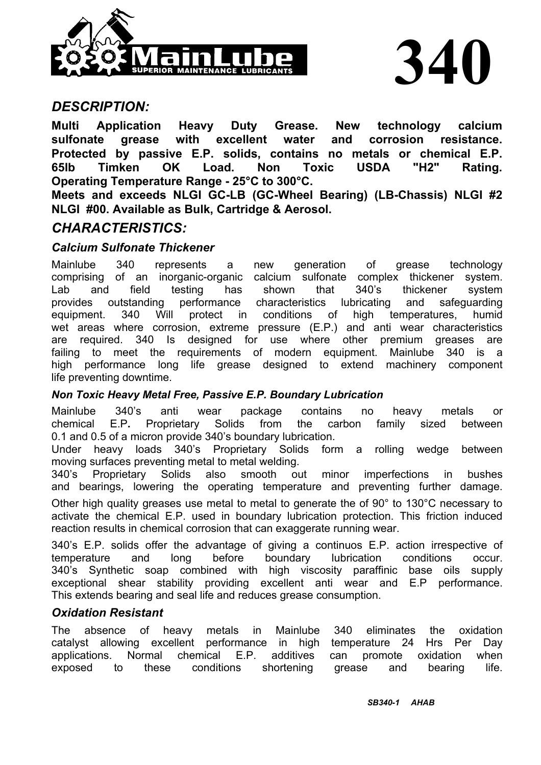

# *DESCRIPTION:*

**Multi Application Heavy Duty Grease. New technology calcium sulfonate grease with excellent water and corrosion resistance. Protected by passive E.P. solids, contains no metals or chemical E.P. 65lb Timken OK Load. Non Toxic USDA "H2" Rating. Operating Temperature Range - 25°C to 300°C.** 

**Meets and exceeds NLGI GC-LB (GC-Wheel Bearing) (LB-Chassis) NLGI #2 NLGI #00. Available as Bulk, Cartridge & Aerosol.** 

# *CHARACTERISTICS:*

## *Calcium Sulfonate Thickener*

Mainlube 340 represents a new generation of grease technology comprising of an inorganic-organic calcium sulfonate complex thickener system. Lab and field testing has shown that 340's thickener system provides outstanding performance characteristics lubricating and safeguarding equipment. 340 Will protect in conditions of high temperatures, humid wet areas where corrosion, extreme pressure (E.P.) and anti wear characteristics are required. 340 Is designed for use where other premium greases are failing to meet the requirements of modern equipment. Mainlube 340 is a high performance long life grease designed to extend machinery component life preventing downtime.

### *Non Toxic Heavy Metal Free, Passive E.P. Boundary Lubrication*

Mainlube 340's anti wear package contains no heavy metals or chemical E.P**.** Proprietary Solids from the carbon family sized between 0.1 and 0.5 of a micron provide 340's boundary lubrication.

Under heavy loads 340's Proprietary Solids form a rolling wedge between moving surfaces preventing metal to metal welding.

340's Proprietary Solids also smooth out minor imperfections in bushes and bearings, lowering the operating temperature and preventing further damage.

Other high quality greases use metal to metal to generate the of 90° to 130°C necessary to activate the chemical E.P. used in boundary lubrication protection. This friction induced reaction results in chemical corrosion that can exaggerate running wear.

340's E.P. solids offer the advantage of giving a continuos E.P. action irrespective of temperature and long before boundary lubrication conditions occur. 340's Synthetic soap combined with high viscosity paraffinic base oils supply exceptional shear stability providing excellent anti wear and E.P performance. This extends bearing and seal life and reduces grease consumption.

### *Oxidation Resistant*

The absence of heavy metals in Mainlube 340 eliminates the oxidation catalyst allowing excellent performance in high temperature 24 Hrs Per Day applications. Normal chemical E.P. additives can promote oxidation when exposed to these conditions shortening grease and bearing life.